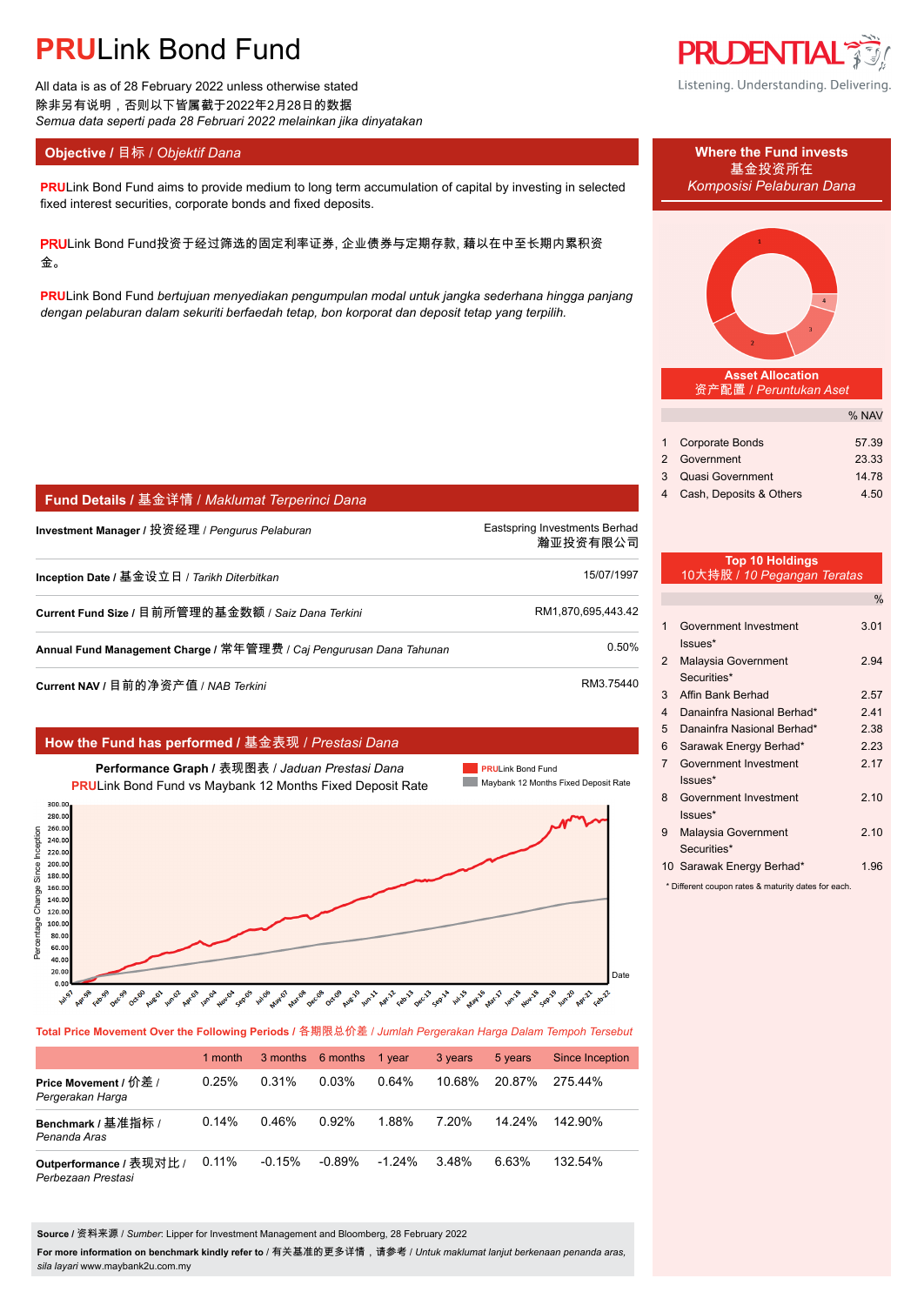All data is as of 28 February 2022 unless otherwise stated 除非另有说明,否则以下皆属截于2022年2月28日的数据 *Semua data seperti pada 28 Februari 2022 melainkan jika dinyatakan*

**Fund Details /** 基金详情 / *Maklumat Terperinci Dana*

### **Objective / 目标 /** *Objektif Dana* **Where the Fund invests</u>**

**PRULink Bond Fund aims to provide medium to long term accumulation of capital by investing in selected** *Komposisi Pelaburan Dana* fixed interest securities, corporate bonds and fixed deposits.

PRULink Bond Fund投资于经过筛选的固定利率证券, 企业债券与定期存款, 藉以在中至长期内累积资 金。

**PRU**Link Bond Fund *bertujuan menyediakan pengumpulan modal untuk jangka sederhana hingga panjang dengan pelaburan dalam sekuriti berfaedah tetap, bon korporat dan deposit tetap yang terpilih.*

**Investment Manager /** 投资经理 / *Pengurus Pelaburan* enter the manager of the Eastspring Investments Berhad.

**Inception Date /** 基金设立日 / *Tarikh Diterbitkan* 15/07/1997.

**Current Fund Size /** 目前所管理的基金数额 / *Saiz Dana Terkini* RM1,870,695,443.42.

**Annual Fund Management Charge /** 常年管理费 / *Caj Pengurusan Dana Tahunan* 0.50%.

|                                                                                                                                                                                                              | Current NAV / 目前的净资产值 / NAB Terkini                                                                                                                                                                                                            | RM3.75440                                                                                                                                |
|--------------------------------------------------------------------------------------------------------------------------------------------------------------------------------------------------------------|------------------------------------------------------------------------------------------------------------------------------------------------------------------------------------------------------------------------------------------------|------------------------------------------------------------------------------------------------------------------------------------------|
|                                                                                                                                                                                                              | How the Fund has performed / 基金表现 / Prestasi Dana                                                                                                                                                                                              |                                                                                                                                          |
|                                                                                                                                                                                                              | Performance Graph / 表现图表 / Jaduan Prestasi Dana<br><b>PRULink Bond Fund vs Maybank 12 Months Fixed Deposit Rate</b>                                                                                                                            | <b>PRULink Bond Fund</b><br>Maybank 12 Months Fixed Deposit Rate                                                                         |
| 300.00<br>280.00<br>260.00<br>Change Since Inception<br>240.00<br>220.00<br>200.00<br>180.00<br>160.00<br>140.00<br>120.00<br>Percentage<br>100.00<br>80.00<br>60.00<br>40.00<br>20.00<br>0.00<br><b>Ash</b> | <b>Jul</b> 06<br>Decas<br>Oct-09<br>Decisio<br><b>Jan</b> coa<br>Novon<br>Sepos<br>Marios<br>Aug-10<br>Februar<br>Decigo<br>Oct.00<br>April<br><b>WA</b> 22<br>Sep-1A<br>Febras<br><b>Autro</b><br><b>May</b> 07<br>Apr-12<br>Apriga<br>Augioz | Date<br><b>Nov-18</b><br><b>Abl</b> ists<br>Jan.18<br><b>May 16</b><br>Sep-19<br>Jun.20<br>Febr <sup>22</sup><br><b>Mar-17</b><br>Apr-21 |

**Total Price Movement Over the Following Periods /** 各期限总价差 / *Jumlah Pergerakan Harga Dalam Tempoh Tersebut*

|                                               | 1 month  |          | 3 months 6 months 1 year |           | 3 years | 5 years | Since Inception |
|-----------------------------------------------|----------|----------|--------------------------|-----------|---------|---------|-----------------|
| Price Movement / 价差 /<br>Pergerakan Harga     | 0.25%    | 0.31%    | 0.03%                    | 0.64%     | 10.68%  | 20.87%  | 275.44%         |
| Benchmark / 基准指标 /<br>Penanda Aras            | 0.14%    | 0.46%    | 0.92%                    | 1.88%     | 7.20%   | 14 24%  | 142.90%         |
| Outperformance / 表现对比 /<br>Perbezaan Prestasi | $0.11\%$ | $-0.15%$ | $-0.89%$                 | $-1.24\%$ | 3.48%   | ი 63%   | 132.54%         |

**Source /** 资料来源 / *Sumber*: Lipper for Investment Management and Bloomberg, 28 February 2022

**For more information on benchmark kindly refer to** / 有关基准的更多详情,请参考 / *Untuk maklumat lanjut berkenaan penanda aras, sila layari* www.maybank2u.com.my



基金投资所在



**Asset Allocation** 资产配置 / *Peruntukan Aset*

|                           | % NAV |
|---------------------------|-------|
| 1 Corporate Bonds         | 57.39 |
| 2 Government              | 23.33 |
| 3 Quasi Government        | 14.78 |
| 4 Cash, Deposits & Others | 4.50  |

### **Top 10 Holdings** 10大持股 / *10 Pegangan Teratas*

瀚亚投资有限公司.

|                |                                                                                                                                                                    | $\%$ |
|----------------|--------------------------------------------------------------------------------------------------------------------------------------------------------------------|------|
| 1              | Government Investment<br>Issues*                                                                                                                                   | 3.01 |
| 2              | Malaysia Government<br>Securities*                                                                                                                                 | 2.94 |
| 3              | Affin Bank Berhad                                                                                                                                                  | 2.57 |
| 4              | Danainfra Nasional Berhad*                                                                                                                                         | 2.41 |
| 5              | Danainfra Nasional Berhad*                                                                                                                                         | 2.38 |
| 6              | Sarawak Energy Berhad*                                                                                                                                             | 2.23 |
| $\overline{7}$ | Government Investment<br>Issues*                                                                                                                                   | 2.17 |
| 8              | Government Investment<br>lssues*                                                                                                                                   | 2.10 |
| 9              | Malaysia Government<br>Securities*                                                                                                                                 | 2.10 |
|                | 10 Sarawak Energy Berhad*<br>$\frac{1}{2}$ , and $\frac{1}{2}$ , and $\frac{1}{2}$ , and $\frac{1}{2}$ , and $\frac{1}{2}$ , and $\frac{1}{2}$ , and $\frac{1}{2}$ | 1.96 |

ent coupon rates & maturity dates for each.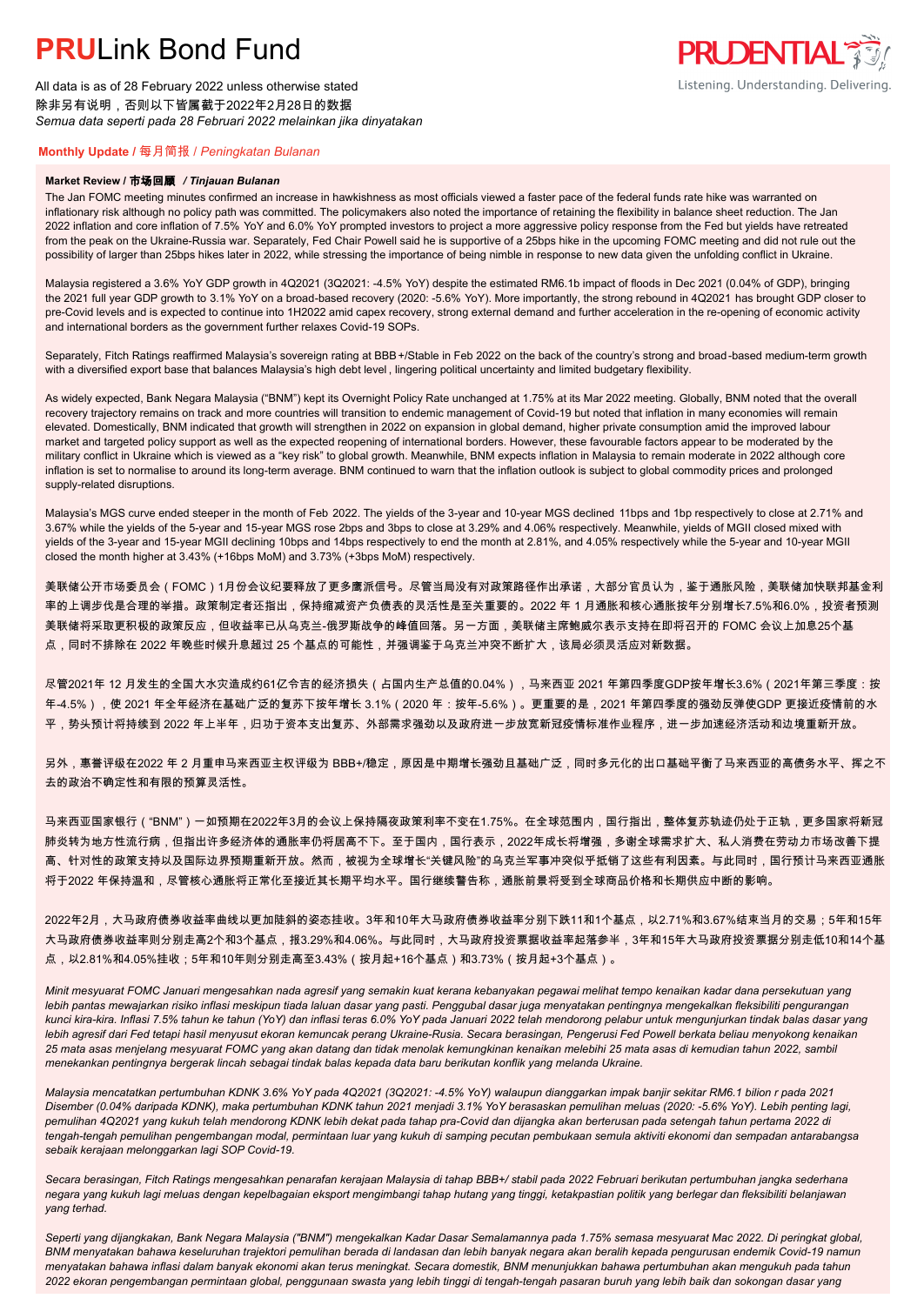All data is as of 28 February 2022 unless otherwise stated 除非另有说明,否则以下皆属截于2022年2月28日的数据 *Semua data seperti pada 28 Februari 2022 melainkan jika dinyatakan*

### **PRUDENTIAL** Listening. Understanding. Delivering.

### **Monthly Update /** 每月简报 / *Peningkatan Bulanan*

#### **Market Review /** 市场回顾 */ Tinjauan Bulanan*

The Jan FOMC meeting minutes confirmed an increase in hawkishness as most officials viewed a faster pace of the federal funds rate hike was warranted on inflationary risk although no policy path was committed. The policymakers also noted the importance of retaining the flexibility in balance sheet reduction. The Jan 2022 inflation and core inflation of 7.5% YoY and 6.0% YoY prompted investors to project a more aggressive policy response from the Fed but yields have retreated from the peak on the Ukraine-Russia war. Separately, Fed Chair Powell said he is supportive of a 25bps hike in the upcoming FOMC meeting and did not rule out the possibility of larger than 25bps hikes later in 2022, while stressing the importance of being nimble in response to new data given the unfolding conflict in Ukraine.

Malaysia registered a 3.6% YoY GDP growth in 4Q2021 (3Q2021: -4.5% YoY) despite the estimated RM6.1b impact of floods in Dec 2021 (0.04% of GDP), bringing the 2021 full year GDP growth to 3.1% YoY on a broad-based recovery (2020: -5.6% YoY). More importantly, the strong rebound in 4Q2021 has brought GDP closer to pre-Covid levels and is expected to continue into 1H2022 amid capex recovery, strong external demand and further acceleration in the re-opening of economic activity and international borders as the government further relaxes Covid-19 SOPs.

Separately, Fitch Ratings reaffirmed Malaysia's sovereign rating at BBB+/Stable in Feb 2022 on the back of the country's strong and broad-based medium-term growth with a diversified export base that balances Malaysia's high debt level , lingering political uncertainty and limited budgetary flexibility.

As widely expected, Bank Negara Malaysia ("BNM") kept its Overnight Policy Rate unchanged at 1.75% at its Mar 2022 meeting. Globally, BNM noted that the overall recovery trajectory remains on track and more countries will transition to endemic management of Covid-19 but noted that inflation in many economies will remain elevated. Domestically, BNM indicated that growth will strengthen in 2022 on expansion in global demand, higher private consumption amid the improved labour market and targeted policy support as well as the expected reopening of international borders. However, these favourable factors appear to be moderated by the military conflict in Ukraine which is viewed as a "key risk" to global growth. Meanwhile, BNM expects inflation in Malaysia to remain moderate in 2022 although core inflation is set to normalise to around its long-term average. BNM continued to warn that the inflation outlook is subject to global commodity prices and prolonged supply-related disruptions.

Malaysia's MGS curve ended steeper in the month of Feb 2022. The yields of the 3-year and 10-year MGS declined 11bps and 1bp respectively to close at 2.71% and 3.67% while the yields of the 5-year and 15-year MGS rose 2bps and 3bps to close at 3.29% and 4.06% respectively. Meanwhile, yields of MGII closed mixed with yields of the 3-year and 15-year MGII declining 10bps and 14bps respectively to end the month at 2.81%, and 4.05% respectively while the 5-year and 10-year MGII closed the month higher at 3.43% (+16bps MoM) and 3.73% (+3bps MoM) respectively.

美联储公开市场委员会(FOMC)1月份会议纪要释放了更多鹰派信号。尽管当局没有对政策路径作出承诺,大部分官员认为,鉴于通胀风险,美联储加快联邦基金利 率的上调步伐是合理的举措。政策制定者还指出,保持缩减资产负债表的灵活性是至关重要的。2022 年 1 月通胀和核心通胀按年分别增长7.5%和6.0%,投资者预测 美联储将采取更积极的政策反应,但收益率已从乌克兰-俄罗斯战争的峰值回落。另一方面,美联储主席鲍威尔表示支持在即将召开的 FOMC 会议上加息25个基 点,同时不排除在 2022 年晚些时候升息超过 25 个基点的可能性,并强调鉴于乌克兰冲突不断扩大,该局必须灵活应对新数据。

尽管2021年 12 月发生的全国大水灾造成约61亿令吉的经济损失(占国内生产总值的0.04%),马来西亚 2021 年第四季度GDP按年增长3.6%(2021年第三季度:按 年-4.5%),使 2021 年全年经济在基础广泛的复苏下按年增长 3.1%(2020 年:按年-5.6%)。更重要的是,2021 年第四季度的强劲反弹使GDP 更接近疫情前的水 平,势头预计将持续到 2022 年上半年,归功于资本支出复苏、外部需求强劲以及政府进一步放宽新冠疫情标准作业程序,进一步加速经济活动和边境重新开放。

另外,惠誉评级在2022 年 2 月重申马来西亚主权评级为 BBB+/稳定,原因是中期增长强劲且基础广泛,同时多元化的出口基础平衡了马来西亚的高债务水平、挥之不 去的政治不确定性和有限的预算灵活性。

马来西亚国家银行("BNM")一如预期在2022年3月的会议上保持隔夜政策利率不变在1.75%。在全球范围内,国行指出,整体复苏轨迹仍处于正轨,更多国家将新冠 肺炎转为地方性流行病,但指出许多经济体的通胀率仍将居高不下。至于国内,国行表示,2022年成长将增强,多谢全球需求扩大、私人消费在劳动力市场改善下提 高、针对性的政策支持以及国际边界预期重新开放。然而,被视为全球增长"关键风险"的乌克兰军事冲突似乎抵销了这些有利因素。与此同时,国行预计马来西亚通胀 将于2022 年保持温和,尽管核心通胀将正常化至接近其长期平均水平。国行继续警告称,通胀前景将受到全球商品价格和长期供应中断的影响。

2022年2月,大马政府债券收益率曲线以更加陡斜的姿态挂收。3年和10年大马政府债券收益率分别下跌11和1个基点,以2.71%和3.67%结束当月的交易;5年和15年 大马政府债券收益率则分别走高2个和3个基点,报3.29%和4.06%。与此同时,大马政府投资票据收益率起落参半,3年和15年大马政府投资票据分别走低10和14个基 点,以2.81%和4.05%挂收;5年和10年则分别走高至3.43%(按月起+16个基点)和3.73%(按月起+3个基点)。

*Minit mesyuarat FOMC Januari mengesahkan nada agresif yang semakin kuat kerana kebanyakan pegawai melihat tempo kenaikan kadar dana persekutuan yang lebih pantas mewajarkan risiko inflasi meskipun tiada laluan dasar yang pasti. Penggubal dasar juga menyatakan pentingnya mengekalkan fleksibiliti pengurangan kunci kira-kira. Inflasi 7.5% tahun ke tahun (YoY) dan inflasi teras 6.0% YoY pada Januari 2022 telah mendorong pelabur untuk mengunjurkan tindak balas dasar yang*  lebih agresif dari Fed tetapi hasil menyusut ekoran kemuncak perang Ukraine-Rusia. Secara berasingan, Pengerusi Fed Powell berkata beliau menyokong kenaikan *25 mata asas menjelang mesyuarat FOMC yang akan datang dan tidak menolak kemungkinan kenaikan melebihi 25 mata asas di kemudian tahun 2022, sambil menekankan pentingnya bergerak lincah sebagai tindak balas kepada data baru berikutan konflik yang melanda Ukraine.*

*Malaysia mencatatkan pertumbuhan KDNK 3.6% YoY pada 4Q2021 (3Q2021: -4.5% YoY) walaupun dianggarkan impak banjir sekitar RM6.1 bilion r pada 2021 Disember (0.04% daripada KDNK), maka pertumbuhan KDNK tahun 2021 menjadi 3.1% YoY berasaskan pemulihan meluas (2020: -5.6% YoY). Lebih penting lagi, pemulihan 4Q2021 yang kukuh telah mendorong KDNK lebih dekat pada tahap pra-Covid dan dijangka akan berterusan pada setengah tahun pertama 2022 di tengah-tengah pemulihan pengembangan modal, permintaan luar yang kukuh di samping pecutan pembukaan semula aktiviti ekonomi dan sempadan antarabangsa sebaik kerajaan melonggarkan lagi SOP Covid-19.*

*Secara berasingan, Fitch Ratings mengesahkan penarafan kerajaan Malaysia di tahap BBB+/ stabil pada 2022 Februari berikutan pertumbuhan jangka sederhana negara yang kukuh lagi meluas dengan kepelbagaian eksport mengimbangi tahap hutang yang tinggi, ketakpastian politik yang berlegar dan fleksibiliti belanjawan yang terhad.*

*Seperti yang dijangkakan, Bank Negara Malaysia ("BNM") mengekalkan Kadar Dasar Semalamannya pada 1.75% semasa mesyuarat Mac 2022. Di peringkat global, BNM menyatakan bahawa keseluruhan trajektori pemulihan berada di landasan dan lebih banyak negara akan beralih kepada pengurusan endemik Covid-19 namun menyatakan bahawa inflasi dalam banyak ekonomi akan terus meningkat. Secara domestik, BNM menunjukkan bahawa pertumbuhan akan mengukuh pada tahun 2022 ekoran pengembangan permintaan global, penggunaan swasta yang lebih tinggi di tengah-tengah pasaran buruh yang lebih baik dan sokongan dasar yang*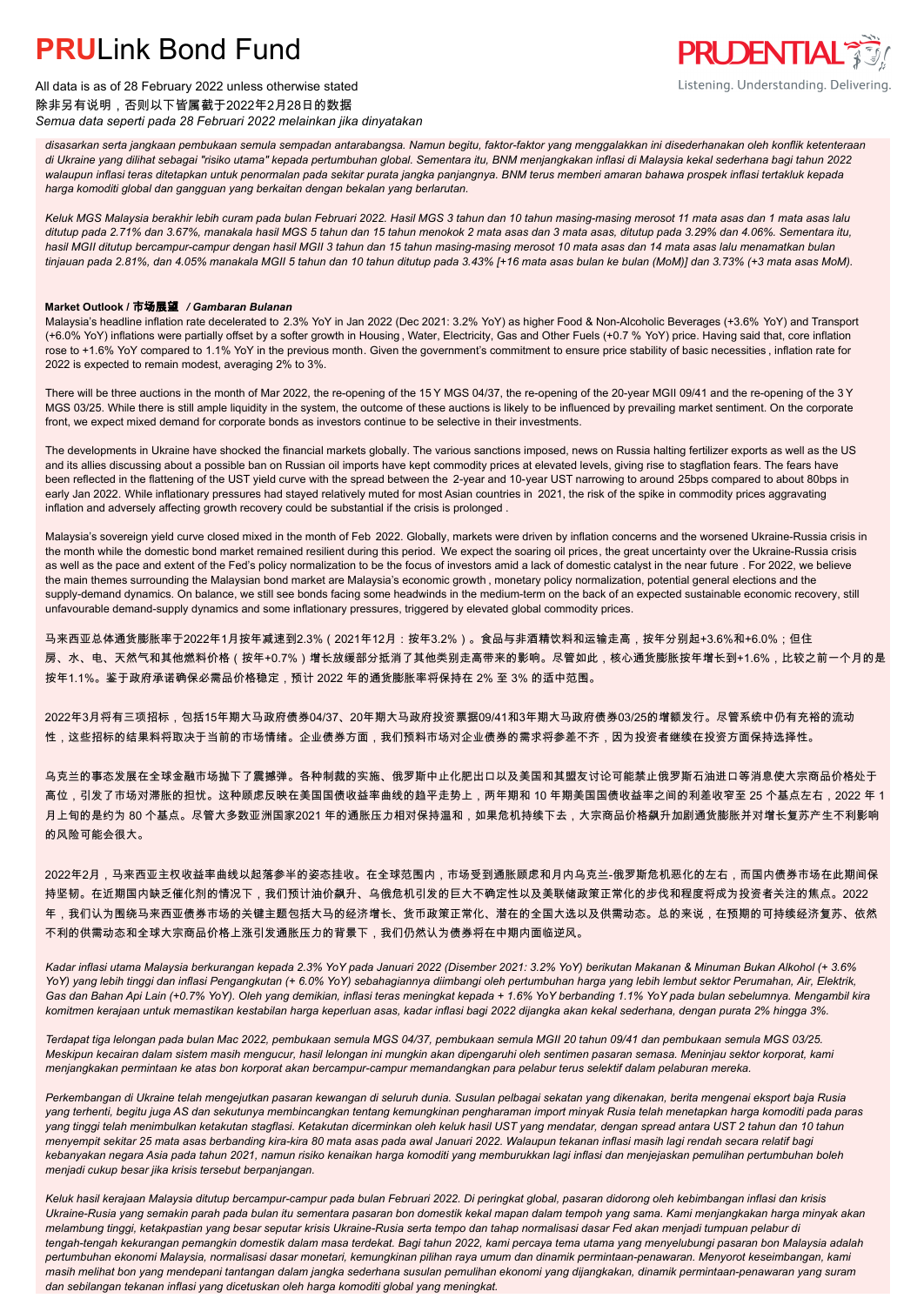

All data is as of 28 February 2022 unless otherwise stated 除非另有说明,否则以下皆属截于2022年2月28日的数据 *Semua data seperti pada 28 Februari 2022 melainkan jika dinyatakan*

*disasarkan serta jangkaan pembukaan semula sempadan antarabangsa. Namun begitu, faktor-faktor yang menggalakkan ini disederhanakan oleh konflik ketenteraan di Ukraine yang dilihat sebagai "risiko utama" kepada pertumbuhan global. Sementara itu, BNM menjangkakan inflasi di Malaysia kekal sederhana bagi tahun 2022 walaupun inflasi teras ditetapkan untuk penormalan pada sekitar purata jangka panjangnya. BNM terus memberi amaran bahawa prospek inflasi tertakluk kepada harga komoditi global dan gangguan yang berkaitan dengan bekalan yang berlarutan.*

*Keluk MGS Malaysia berakhir lebih curam pada bulan Februari 2022. Hasil MGS 3 tahun dan 10 tahun masing-masing merosot 11 mata asas dan 1 mata asas lalu ditutup pada 2.71% dan 3.67%, manakala hasil MGS 5 tahun dan 15 tahun menokok 2 mata asas dan 3 mata asas, ditutup pada 3.29% dan 4.06%. Sementara itu, hasil MGII ditutup bercampur-campur dengan hasil MGII 3 tahun dan 15 tahun masing-masing merosot 10 mata asas dan 14 mata asas lalu menamatkan bulan tinjauan pada 2.81%, dan 4.05% manakala MGII 5 tahun dan 10 tahun ditutup pada 3.43% [+16 mata asas bulan ke bulan (MoM)] dan 3.73% (+3 mata asas MoM).*

### **Market Outlook /** 市场展望 */ Gambaran Bulanan*

Malaysia's headline inflation rate decelerated to 2.3% YoY in Jan 2022 (Dec 2021: 3.2% YoY) as higher Food & Non-Alcoholic Beverages (+3.6% YoY) and Transport (+6.0% YoY) inflations were partially offset by a softer growth in Housing , Water, Electricity, Gas and Other Fuels (+0.7 % YoY) price. Having said that, core inflation rose to +1.6% YoY compared to 1.1% YoY in the previous month. Given the government's commitment to ensure price stability of basic necessities , inflation rate for 2022 is expected to remain modest, averaging 2% to 3%.

There will be three auctions in the month of Mar 2022, the re-opening of the 15 Y MGS 04/37, the re-opening of the 20-year MGII 09/41 and the re-opening of the 3 Y MGS 03/25. While there is still ample liquidity in the system, the outcome of these auctions is likely to be influenced by prevailing market sentiment. On the corporate front, we expect mixed demand for corporate bonds as investors continue to be selective in their investments.

The developments in Ukraine have shocked the financial markets globally. The various sanctions imposed, news on Russia halting fertilizer exports as well as the US and its allies discussing about a possible ban on Russian oil imports have kept commodity prices at elevated levels, giving rise to stagflation fears. The fears have been reflected in the flattening of the UST yield curve with the spread between the 2-year and 10-year UST narrowing to around 25bps compared to about 80bps in early Jan 2022. While inflationary pressures had stayed relatively muted for most Asian countries in 2021, the risk of the spike in commodity prices aggravating inflation and adversely affecting growth recovery could be substantial if the crisis is prolonged .

Malaysia's sovereign yield curve closed mixed in the month of Feb 2022. Globally, markets were driven by inflation concerns and the worsened Ukraine-Russia crisis in the month while the domestic bond market remained resilient during this period. We expect the soaring oil prices, the great uncertainty over the Ukraine-Russia crisis as well as the pace and extent of the Fed's policy normalization to be the focus of investors amid a lack of domestic catalyst in the near future . For 2022, we believe the main themes surrounding the Malaysian bond market are Malaysia's economic growth , monetary policy normalization, potential general elections and the supply-demand dynamics. On balance, we still see bonds facing some headwinds in the medium-term on the back of an expected sustainable economic recovery, still unfavourable demand-supply dynamics and some inflationary pressures, triggered by elevated global commodity prices.

马来西亚总体通货膨胀率于2022年1月按年减速到2.3%(2021年12月:按年3.2%)。食品与非酒精饮料和运输走高,按年分别起+3.6%和+6.0%;但住 房、水、电、天然气和其他燃料价格(按年+0.7%)增长放缓部分抵消了其他类别走高带来的影响。尽管如此,核心通货膨胀按年增长到+1.6%,比较之前一个月的是 按年1.1%。鉴于政府承诺确保必需品价格稳定,预计 2022 年的通货膨胀率将保持在 2% 至 3% 的适中范围。

2022年3月将有三项招标,包括15年期大马政府债券04/37、20年期大马政府投资票据09/41和3年期大马政府债券03/25的增额发行。尽管系统中仍有充裕的流动 性,这些招标的结果料将取决于当前的市场情绪。企业债券方面,我们预料市场对企业债券的需求将参差不齐,因为投资者继续在投资方面保持选择性。

乌克兰的事态发展在全球金融市场抛下了震撼弹。各种制裁的实施、俄罗斯中止化肥出口以及美国和其盟友讨论可能禁止俄罗斯石油进口等消息使大宗商品价格处于 高位,引发了市场对滞胀的担忧。这种顾虑反映在美国国债收益率曲线的趋平走势上,两年期和 10 年期美国国债收益率之间的利差收窄至 25 个基点左右,2022 年 1 月上旬的是约为 80 个基点。尽管大多数亚洲国家2021 年的通胀压力相对保持温和,如果危机持续下去,大宗商品价格飙升加剧通货膨胀并对增长复苏产生不利影响 的风险可能会很大。

2022年2月,马来西亚主权收益率曲线以起落参半的姿态挂收。在全球范围内,市场受到通胀顾虑和月内乌克兰-俄罗斯危机恶化的左右,而国内债券市场在此期间保 持坚韧。在近期国内缺乏催化剂的情况下,我们预计油价飙升、乌俄危机引发的巨大不确定性以及美联储政策正常化的步伐和程度将成为投资者关注的焦点。2022 年,我们认为围绕马来西亚债券市场的关键主题包括大马的经济增长、货币政策正常化、潜在的全国大选以及供需动态。总的来说,在预期的可持续经济复苏、依然 不利的供需动态和全球大宗商品价格上涨引发通胀压力的背景下,我们仍然认为债券将在中期内面临逆风。

*Kadar inflasi utama Malaysia berkurangan kepada 2.3% YoY pada Januari 2022 (Disember 2021: 3.2% YoY) berikutan Makanan & Minuman Bukan Alkohol (+ 3.6% YoY) yang lebih tinggi dan inflasi Pengangkutan (+ 6.0% YoY) sebahagiannya diimbangi oleh pertumbuhan harga yang lebih lembut sektor Perumahan, Air, Elektrik, Gas dan Bahan Api Lain (+0.7% YoY). Oleh yang demikian, inflasi teras meningkat kepada + 1.6% YoY berbanding 1.1% YoY pada bulan sebelumnya. Mengambil kira komitmen kerajaan untuk memastikan kestabilan harga keperluan asas, kadar inflasi bagi 2022 dijangka akan kekal sederhana, dengan purata 2% hingga 3%.*

*Terdapat tiga lelongan pada bulan Mac 2022, pembukaan semula MGS 04/37, pembukaan semula MGII 20 tahun 09/41 dan pembukaan semula MGS 03/25. Meskipun kecairan dalam sistem masih mengucur, hasil lelongan ini mungkin akan dipengaruhi oleh sentimen pasaran semasa. Meninjau sektor korporat, kami menjangkakan permintaan ke atas bon korporat akan bercampur-campur memandangkan para pelabur terus selektif dalam pelaburan mereka.*

*Perkembangan di Ukraine telah mengejutkan pasaran kewangan di seluruh dunia. Susulan pelbagai sekatan yang dikenakan, berita mengenai eksport baja Rusia yang terhenti, begitu juga AS dan sekutunya membincangkan tentang kemungkinan pengharaman import minyak Rusia telah menetapkan harga komoditi pada paras yang tinggi telah menimbulkan ketakutan stagflasi. Ketakutan dicerminkan oleh keluk hasil UST yang mendatar, dengan spread antara UST 2 tahun dan 10 tahun menyempit sekitar 25 mata asas berbanding kira-kira 80 mata asas pada awal Januari 2022. Walaupun tekanan inflasi masih lagi rendah secara relatif bagi kebanyakan negara Asia pada tahun 2021, namun risiko kenaikan harga komoditi yang memburukkan lagi inflasi dan menjejaskan pemulihan pertumbuhan boleh menjadi cukup besar jika krisis tersebut berpanjangan.*

*Keluk hasil kerajaan Malaysia ditutup bercampur-campur pada bulan Februari 2022. Di peringkat global, pasaran didorong oleh kebimbangan inflasi dan krisis Ukraine-Rusia yang semakin parah pada bulan itu sementara pasaran bon domestik kekal mapan dalam tempoh yang sama. Kami menjangkakan harga minyak akan melambung tinggi, ketakpastian yang besar seputar krisis Ukraine-Rusia serta tempo dan tahap normalisasi dasar Fed akan menjadi tumpuan pelabur di tengah-tengah kekurangan pemangkin domestik dalam masa terdekat. Bagi tahun 2022, kami percaya tema utama yang menyelubungi pasaran bon Malaysia adalah pertumbuhan ekonomi Malaysia, normalisasi dasar monetari, kemungkinan pilihan raya umum dan dinamik permintaan-penawaran. Menyorot keseimbangan, kami masih melihat bon yang mendepani tantangan dalam jangka sederhana susulan pemulihan ekonomi yang dijangkakan, dinamik permintaan-penawaran yang suram dan sebilangan tekanan inflasi yang dicetuskan oleh harga komoditi global yang meningkat.*